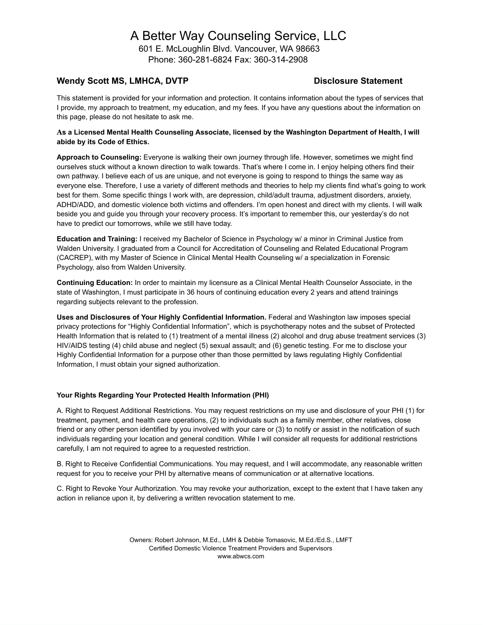601 E. McLoughlin Blvd. Vancouver, WA 98663 Phone: 360-281-6824 Fax: 360-314-2908

### **Wendy Scott MS, LMHCA, DVTP Disclosure Statement**

This statement is provided for your information and protection. It contains information about the types of services that I provide, my approach to treatment, my education, and my fees. If you have any questions about the information on this page, please do not hesitate to ask me.

#### **As a Licensed Mental Health Counseling Associate, licensed by the Washington Department of Health, I will abide by its Code of Ethics.**

**Approach to Counseling:** Everyone is walking their own journey through life. However, sometimes we might find ourselves stuck without a known direction to walk towards. That's where I come in. I enjoy helping others find their own pathway. I believe each of us are unique, and not everyone is going to respond to things the same way as everyone else. Therefore, I use a variety of different methods and theories to help my clients find what's going to work best for them. Some specific things I work with, are depression, child/adult trauma, adjustment disorders, anxiety, ADHD/ADD, and domestic violence both victims and offenders. I'm open honest and direct with my clients. I will walk beside you and guide you through your recovery process. It's important to remember this, our yesterday's do not have to predict our tomorrows, while we still have today.

**Education and Training:** I received my Bachelor of Science in Psychology w/ a minor in Criminal Justice from Walden University. I graduated from a Council for Accreditation of Counseling and Related Educational Program (CACREP), with my Master of Science in Clinical Mental Health Counseling w/ a specialization in Forensic Psychology, also from Walden University.

**Continuing Education:** In order to maintain my licensure as a Clinical Mental Health Counselor Associate, in the state of Washington, I must participate in 36 hours of continuing education every 2 years and attend trainings regarding subjects relevant to the profession.

**Uses and Disclosures of Your Highly Confidential Information.** Federal and Washington law imposes special privacy protections for "Highly Confidential Information", which is psychotherapy notes and the subset of Protected Health Information that is related to (1) treatment of a mental illness (2) alcohol and drug abuse treatment services (3) HIV/AIDS testing (4) child abuse and neglect (5) sexual assault; and (6) genetic testing. For me to disclose your Highly Confidential Information for a purpose other than those permitted by laws regulating Highly Confidential Information, I must obtain your signed authorization.

### **Your Rights Regarding Your Protected Health Information (PHI)**

A. Right to Request Additional Restrictions. You may request restrictions on my use and disclosure of your PHI (1) for treatment, payment, and health care operations, (2) to individuals such as a family member, other relatives, close friend or any other person identified by you involved with your care or (3) to notify or assist in the notification of such individuals regarding your location and general condition. While I will consider all requests for additional restrictions carefully, I am not required to agree to a requested restriction.

B. Right to Receive Confidential Communications. You may request, and I will accommodate, any reasonable written request for you to receive your PHI by alternative means of communication or at alternative locations.

C. Right to Revoke Your Authorization. You may revoke your authorization, except to the extent that I have taken any action in reliance upon it, by delivering a written revocation statement to me.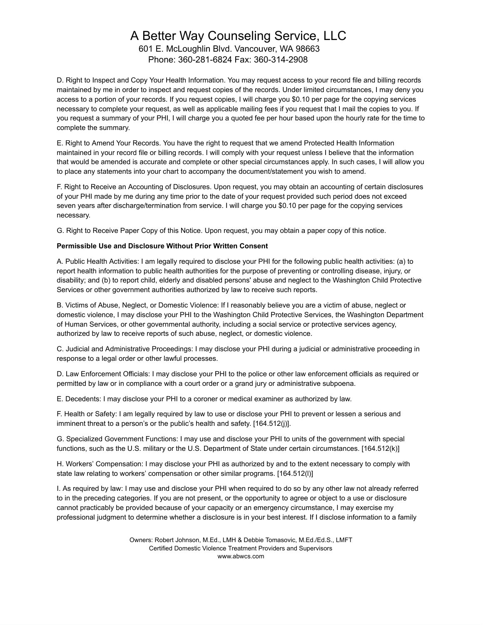601 E. McLoughlin Blvd. Vancouver, WA 98663 Phone: 360-281-6824 Fax: 360-314-2908

D. Right to Inspect and Copy Your Health Information. You may request access to your record file and billing records maintained by me in order to inspect and request copies of the records. Under limited circumstances, I may deny you access to a portion of your records. If you request copies, I will charge you \$0.10 per page for the copying services necessary to complete your request, as well as applicable mailing fees if you request that I mail the copies to you. If you request a summary of your PHI, I will charge you a quoted fee per hour based upon the hourly rate for the time to complete the summary.

E. Right to Amend Your Records. You have the right to request that we amend Protected Health Information maintained in your record file or billing records. I will comply with your request unless I believe that the information that would be amended is accurate and complete or other special circumstances apply. In such cases, I will allow you to place any statements into your chart to accompany the document/statement you wish to amend.

F. Right to Receive an Accounting of Disclosures. Upon request, you may obtain an accounting of certain disclosures of your PHI made by me during any time prior to the date of your request provided such period does not exceed seven years after discharge/termination from service. I will charge you \$0.10 per page for the copying services necessary.

G. Right to Receive Paper Copy of this Notice. Upon request, you may obtain a paper copy of this notice.

#### **Permissible Use and Disclosure Without Prior Written Consent**

A. Public Health Activities: I am legally required to disclose your PHI for the following public health activities: (a) to report health information to public health authorities for the purpose of preventing or controlling disease, injury, or disability; and (b) to report child, elderly and disabled persons' abuse and neglect to the Washington Child Protective Services or other government authorities authorized by law to receive such reports.

B. Victims of Abuse, Neglect, or Domestic Violence: If I reasonably believe you are a victim of abuse, neglect or domestic violence, I may disclose your PHI to the Washington Child Protective Services, the Washington Department of Human Services, or other governmental authority, including a social service or protective services agency, authorized by law to receive reports of such abuse, neglect, or domestic violence.

C. Judicial and Administrative Proceedings: I may disclose your PHI during a judicial or administrative proceeding in response to a legal order or other lawful processes.

D. Law Enforcement Officials: I may disclose your PHI to the police or other law enforcement officials as required or permitted by law or in compliance with a court order or a grand jury or administrative subpoena.

E. Decedents: I may disclose your PHI to a coroner or medical examiner as authorized by law.

F. Health or Safety: I am legally required by law to use or disclose your PHI to prevent or lessen a serious and imminent threat to a person's or the public's health and safety. [164.512(j)].

G. Specialized Government Functions: I may use and disclose your PHI to units of the government with special functions, such as the U.S. military or the U.S. Department of State under certain circumstances. [164.512(k)]

H. Workers' Compensation: I may disclose your PHI as authorized by and to the extent necessary to comply with state law relating to workers' compensation or other similar programs. [164.512(l)]

I. As required by law: I may use and disclose your PHI when required to do so by any other law not already referred to in the preceding categories. If you are not present, or the opportunity to agree or object to a use or disclosure cannot practicably be provided because of your capacity or an emergency circumstance, I may exercise my professional judgment to determine whether a disclosure is in your best interest. If I disclose information to a family

> Owners: Robert Johnson, M.Ed., LMH & Debbie Tomasovic, M.Ed./Ed.S., LMFT Certified Domestic Violence Treatment Providers and Supervisors www.abwcs.com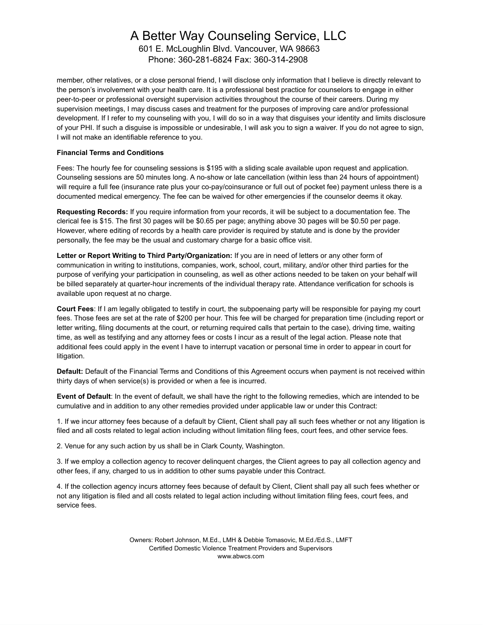601 E. McLoughlin Blvd. Vancouver, WA 98663 Phone: 360-281-6824 Fax: 360-314-2908

member, other relatives, or a close personal friend, I will disclose only information that I believe is directly relevant to the person's involvement with your health care. It is a professional best practice for counselors to engage in either peer-to-peer or professional oversight supervision activities throughout the course of their careers. During my supervision meetings, I may discuss cases and treatment for the purposes of improving care and/or professional development. If I refer to my counseling with you, I will do so in a way that disguises your identity and limits disclosure of your PHI. If such a disguise is impossible or undesirable, I will ask you to sign a waiver. If you do not agree to sign, I will not make an identifiable reference to you.

#### **Financial Terms and Conditions**

Fees: The hourly fee for counseling sessions is \$195 with a sliding scale available upon request and application. Counseling sessions are 50 minutes long. A no-show or late cancellation (within less than 24 hours of appointment) will require a full fee (insurance rate plus your co-pay/coinsurance or full out of pocket fee) payment unless there is a documented medical emergency. The fee can be waived for other emergencies if the counselor deems it okay.

**Requesting Records:** If you require information from your records, it will be subject to a documentation fee. The clerical fee is \$15. The first 30 pages will be \$0.65 per page; anything above 30 pages will be \$0.50 per page. However, where editing of records by a health care provider is required by statute and is done by the provider personally, the fee may be the usual and customary charge for a basic office visit.

**Letter or Report Writing to Third Party/Organization:** If you are in need of letters or any other form of communication in writing to institutions, companies, work, school, court, military, and/or other third parties for the purpose of verifying your participation in counseling, as well as other actions needed to be taken on your behalf will be billed separately at quarter-hour increments of the individual therapy rate. Attendance verification for schools is available upon request at no charge.

**Court Fees**: If I am legally obligated to testify in court, the subpoenaing party will be responsible for paying my court fees. Those fees are set at the rate of \$200 per hour. This fee will be charged for preparation time (including report or letter writing, filing documents at the court, or returning required calls that pertain to the case), driving time, waiting time, as well as testifying and any attorney fees or costs I incur as a result of the legal action. Please note that additional fees could apply in the event I have to interrupt vacation or personal time in order to appear in court for litigation.

**Default:** Default of the Financial Terms and Conditions of this Agreement occurs when payment is not received within thirty days of when service(s) is provided or when a fee is incurred.

**Event of Default**: In the event of default, we shall have the right to the following remedies, which are intended to be cumulative and in addition to any other remedies provided under applicable law or under this Contract:

1. If we incur attorney fees because of a default by Client, Client shall pay all such fees whether or not any litigation is filed and all costs related to legal action including without limitation filing fees, court fees, and other service fees.

2. Venue for any such action by us shall be in Clark County, Washington.

3. If we employ a collection agency to recover delinquent charges, the Client agrees to pay all collection agency and other fees, if any, charged to us in addition to other sums payable under this Contract.

4. If the collection agency incurs attorney fees because of default by Client, Client shall pay all such fees whether or not any litigation is filed and all costs related to legal action including without limitation filing fees, court fees, and service fees.

> Owners: Robert Johnson, M.Ed., LMH & Debbie Tomasovic, M.Ed./Ed.S., LMFT Certified Domestic Violence Treatment Providers and Supervisors www.abwcs.com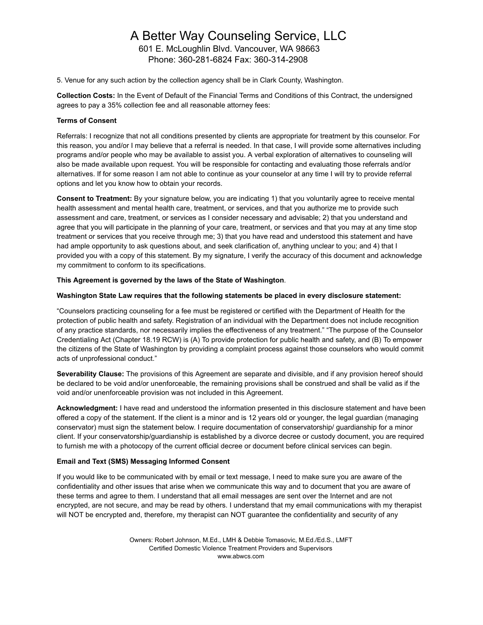### A Better Way Counseling Service, LLC 601 E. McLoughlin Blvd. Vancouver, WA 98663

Phone: 360-281-6824 Fax: 360-314-2908

5. Venue for any such action by the collection agency shall be in Clark County, Washington.

**Collection Costs:** In the Event of Default of the Financial Terms and Conditions of this Contract, the undersigned agrees to pay a 35% collection fee and all reasonable attorney fees:

#### **Terms of Consent**

Referrals: I recognize that not all conditions presented by clients are appropriate for treatment by this counselor. For this reason, you and/or I may believe that a referral is needed. In that case, I will provide some alternatives including programs and/or people who may be available to assist you. A verbal exploration of alternatives to counseling will also be made available upon request. You will be responsible for contacting and evaluating those referrals and/or alternatives. If for some reason I am not able to continue as your counselor at any time I will try to provide referral options and let you know how to obtain your records.

**Consent to Treatment:** By your signature below, you are indicating 1) that you voluntarily agree to receive mental health assessment and mental health care, treatment, or services, and that you authorize me to provide such assessment and care, treatment, or services as I consider necessary and advisable; 2) that you understand and agree that you will participate in the planning of your care, treatment, or services and that you may at any time stop treatment or services that you receive through me; 3) that you have read and understood this statement and have had ample opportunity to ask questions about, and seek clarification of, anything unclear to you; and 4) that I provided you with a copy of this statement. By my signature, I verify the accuracy of this document and acknowledge my commitment to conform to its specifications.

#### **This Agreement is governed by the laws of the State of Washington**.

#### **Washington State Law requires that the following statements be placed in every disclosure statement:**

"Counselors practicing counseling for a fee must be registered or certified with the Department of Health for the protection of public health and safety. Registration of an individual with the Department does not include recognition of any practice standards, nor necessarily implies the effectiveness of any treatment." "The purpose of the Counselor Credentialing Act (Chapter 18.19 RCW) is (A) To provide protection for public health and safety, and (B) To empower the citizens of the State of Washington by providing a complaint process against those counselors who would commit acts of unprofessional conduct."

**Severability Clause:** The provisions of this Agreement are separate and divisible, and if any provision hereof should be declared to be void and/or unenforceable, the remaining provisions shall be construed and shall be valid as if the void and/or unenforceable provision was not included in this Agreement.

**Acknowledgment:** I have read and understood the information presented in this disclosure statement and have been offered a copy of the statement. If the client is a minor and is 12 years old or younger, the legal guardian (managing conservator) must sign the statement below. I require documentation of conservatorship/ guardianship for a minor client. If your conservatorship/guardianship is established by a divorce decree or custody document, you are required to furnish me with a photocopy of the current official decree or document before clinical services can begin.

#### **Email and Text (SMS) Messaging Informed Consent**

If you would like to be communicated with by email or text message, I need to make sure you are aware of the confidentiality and other issues that arise when we communicate this way and to document that you are aware of these terms and agree to them. I understand that all email messages are sent over the Internet and are not encrypted, are not secure, and may be read by others. I understand that my email communications with my therapist will NOT be encrypted and, therefore, my therapist can NOT guarantee the confidentiality and security of any